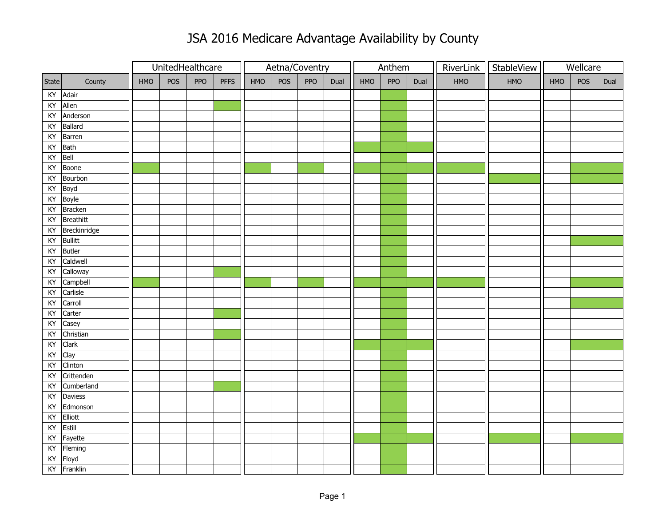|                        |                |            | UnitedHealthcare |     |             | Aetna/Coventry |     |     |      | Anthem     |     |      |     | RiverLink   StableView |     | Wellcare |      |
|------------------------|----------------|------------|------------------|-----|-------------|----------------|-----|-----|------|------------|-----|------|-----|------------------------|-----|----------|------|
| State                  | County         | <b>HMO</b> | POS              | PPO | <b>PFFS</b> | HMO            | POS | PPO | Dual | <b>HMO</b> | PPO | Dual | HMO | HMO                    | HMO | POS      | Dual |
|                        | KY Adair       |            |                  |     |             |                |     |     |      |            |     |      |     |                        |     |          |      |
|                        | KY Allen       |            |                  |     |             |                |     |     |      |            |     |      |     |                        |     |          |      |
|                        | KY Anderson    |            |                  |     |             |                |     |     |      |            |     |      |     |                        |     |          |      |
| KY                     | Ballard        |            |                  |     |             |                |     |     |      |            |     |      |     |                        |     |          |      |
| KY                     | Barren         |            |                  |     |             |                |     |     |      |            |     |      |     |                        |     |          |      |
| $\mathsf{K}\mathsf{Y}$ | Bath           |            |                  |     |             |                |     |     |      |            |     |      |     |                        |     |          |      |
| KY                     | Bell           |            |                  |     |             |                |     |     |      |            |     |      |     |                        |     |          |      |
| KY                     | Boone          |            |                  |     |             |                |     |     |      |            |     |      |     |                        |     |          |      |
| KY                     | Bourbon        |            |                  |     |             |                |     |     |      |            |     |      |     |                        |     |          |      |
| KY                     | Boyd           |            |                  |     |             |                |     |     |      |            |     |      |     |                        |     |          |      |
|                        | KY Boyle       |            |                  |     |             |                |     |     |      |            |     |      |     |                        |     |          |      |
| KY                     | <b>Bracken</b> |            |                  |     |             |                |     |     |      |            |     |      |     |                        |     |          |      |
| KY                     | Breathitt      |            |                  |     |             |                |     |     |      |            |     |      |     |                        |     |          |      |
| KY                     | Breckinridge   |            |                  |     |             |                |     |     |      |            |     |      |     |                        |     |          |      |
| KY                     | <b>Bullitt</b> |            |                  |     |             |                |     |     |      |            |     |      |     |                        |     |          |      |
| KY                     | <b>Butler</b>  |            |                  |     |             |                |     |     |      |            |     |      |     |                        |     |          |      |
| KY                     | Caldwell       |            |                  |     |             |                |     |     |      |            |     |      |     |                        |     |          |      |
| KY                     | Calloway       |            |                  |     |             |                |     |     |      |            |     |      |     |                        |     |          |      |
| KY                     | Campbell       |            |                  |     |             |                |     |     |      |            |     |      |     |                        |     |          |      |
| KY                     | Carlisle       |            |                  |     |             |                |     |     |      |            |     |      |     |                        |     |          |      |
| KY                     | Carroll        |            |                  |     |             |                |     |     |      |            |     |      |     |                        |     |          |      |
| KY                     | Carter         |            |                  |     |             |                |     |     |      |            |     |      |     |                        |     |          |      |
| KY                     | Casey          |            |                  |     |             |                |     |     |      |            |     |      |     |                        |     |          |      |
| KY                     | Christian      |            |                  |     |             |                |     |     |      |            |     |      |     |                        |     |          |      |
| KY                     | Clark          |            |                  |     |             |                |     |     |      |            |     |      |     |                        |     |          |      |
| KY                     | Clay           |            |                  |     |             |                |     |     |      |            |     |      |     |                        |     |          |      |
| KY                     | Clinton        |            |                  |     |             |                |     |     |      |            |     |      |     |                        |     |          |      |
| KY                     | Crittenden     |            |                  |     |             |                |     |     |      |            |     |      |     |                        |     |          |      |
| KY                     | Cumberland     |            |                  |     |             |                |     |     |      |            |     |      |     |                        |     |          |      |
| KY                     | Daviess        |            |                  |     |             |                |     |     |      |            |     |      |     |                        |     |          |      |
| KY                     | Edmonson       |            |                  |     |             |                |     |     |      |            |     |      |     |                        |     |          |      |
| KY                     | Elliott        |            |                  |     |             |                |     |     |      |            |     |      |     |                        |     |          |      |
| KY                     | Estill         |            |                  |     |             |                |     |     |      |            |     |      |     |                        |     |          |      |
| KY                     | Fayette        |            |                  |     |             |                |     |     |      |            |     |      |     |                        |     |          |      |
| KY                     | Fleming        |            |                  |     |             |                |     |     |      |            |     |      |     |                        |     |          |      |
|                        | KY Floyd       |            |                  |     |             |                |     |     |      |            |     |      |     |                        |     |          |      |
|                        | KY Franklin    |            |                  |     |             |                |     |     |      |            |     |      |     |                        |     |          |      |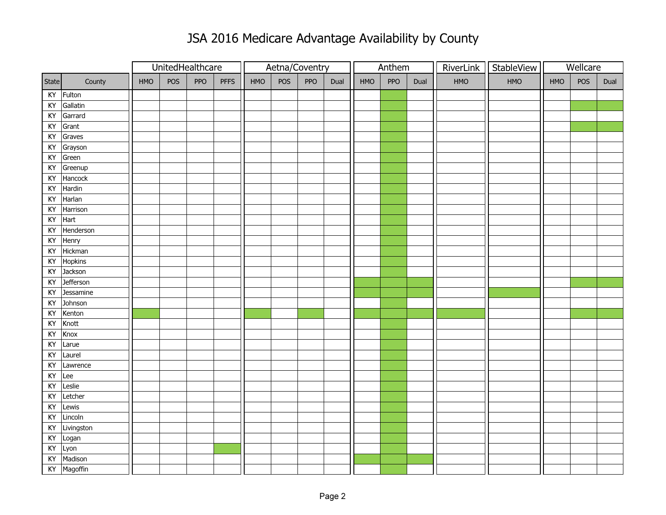|           |            |            | UnitedHealthcare |     |             | Aetna/Coventry |     |     |      | Anthem     |     |      |     | RiverLink   StableView |            | Wellcare |      |
|-----------|------------|------------|------------------|-----|-------------|----------------|-----|-----|------|------------|-----|------|-----|------------------------|------------|----------|------|
| State     | County     | <b>HMO</b> | POS              | PPO | <b>PFFS</b> | HMO            | POS | PPO | Dual | <b>HMO</b> | PPO | Dual | HMO | HMO                    | <b>HMO</b> | POS      | Dual |
| KY        | Fulton     |            |                  |     |             |                |     |     |      |            |     |      |     |                        |            |          |      |
| KY        | Gallatin   |            |                  |     |             |                |     |     |      |            |     |      |     |                        |            |          |      |
| KY        | Garrard    |            |                  |     |             |                |     |     |      |            |     |      |     |                        |            |          |      |
| KY        | Grant      |            |                  |     |             |                |     |     |      |            |     |      |     |                        |            |          |      |
| KY        | Graves     |            |                  |     |             |                |     |     |      |            |     |      |     |                        |            |          |      |
| KY        | Grayson    |            |                  |     |             |                |     |     |      |            |     |      |     |                        |            |          |      |
| KY        | Green      |            |                  |     |             |                |     |     |      |            |     |      |     |                        |            |          |      |
| KY        | Greenup    |            |                  |     |             |                |     |     |      |            |     |      |     |                        |            |          |      |
| KY        | Hancock    |            |                  |     |             |                |     |     |      |            |     |      |     |                        |            |          |      |
| KY        | Hardin     |            |                  |     |             |                |     |     |      |            |     |      |     |                        |            |          |      |
| KY        | Harlan     |            |                  |     |             |                |     |     |      |            |     |      |     |                        |            |          |      |
| KY        | Harrison   |            |                  |     |             |                |     |     |      |            |     |      |     |                        |            |          |      |
| KY        | Hart       |            |                  |     |             |                |     |     |      |            |     |      |     |                        |            |          |      |
| KY        | Henderson  |            |                  |     |             |                |     |     |      |            |     |      |     |                        |            |          |      |
| KY        | Henry      |            |                  |     |             |                |     |     |      |            |     |      |     |                        |            |          |      |
| KY        | Hickman    |            |                  |     |             |                |     |     |      |            |     |      |     |                        |            |          |      |
| KY        | Hopkins    |            |                  |     |             |                |     |     |      |            |     |      |     |                        |            |          |      |
| KY        | Jackson    |            |                  |     |             |                |     |     |      |            |     |      |     |                        |            |          |      |
| KY        | Jefferson  |            |                  |     |             |                |     |     |      |            |     |      |     |                        |            |          |      |
| KY        | Jessamine  |            |                  |     |             |                |     |     |      |            |     |      |     |                        |            |          |      |
| KY        | Johnson    |            |                  |     |             |                |     |     |      |            |     |      |     |                        |            |          |      |
| KY        | Kenton     |            |                  |     |             |                |     |     |      |            |     |      |     |                        |            |          |      |
| KY        | Knott      |            |                  |     |             |                |     |     |      |            |     |      |     |                        |            |          |      |
| KY        | Knox       |            |                  |     |             |                |     |     |      |            |     |      |     |                        |            |          |      |
| KY        | Larue      |            |                  |     |             |                |     |     |      |            |     |      |     |                        |            |          |      |
| KY        | Laurel     |            |                  |     |             |                |     |     |      |            |     |      |     |                        |            |          |      |
| KY        | Lawrence   |            |                  |     |             |                |     |     |      |            |     |      |     |                        |            |          |      |
| KY        | Lee        |            |                  |     |             |                |     |     |      |            |     |      |     |                        |            |          |      |
| KY        | Leslie     |            |                  |     |             |                |     |     |      |            |     |      |     |                        |            |          |      |
| KY        | Letcher    |            |                  |     |             |                |     |     |      |            |     |      |     |                        |            |          |      |
| KY        | Lewis      |            |                  |     |             |                |     |     |      |            |     |      |     |                        |            |          |      |
| KY        | Lincoln    |            |                  |     |             |                |     |     |      |            |     |      |     |                        |            |          |      |
| KY        | Livingston |            |                  |     |             |                |     |     |      |            |     |      |     |                        |            |          |      |
| KY        | Logan      |            |                  |     |             |                |     |     |      |            |     |      |     |                        |            |          |      |
| <b>KY</b> | Lyon       |            |                  |     |             |                |     |     |      |            |     |      |     |                        |            |          |      |
| KY        | Madison    |            |                  |     |             |                |     |     |      |            |     |      |     |                        |            |          |      |
| KY        | Magoffin   |            |                  |     |             |                |     |     |      |            |     |      |     |                        |            |          |      |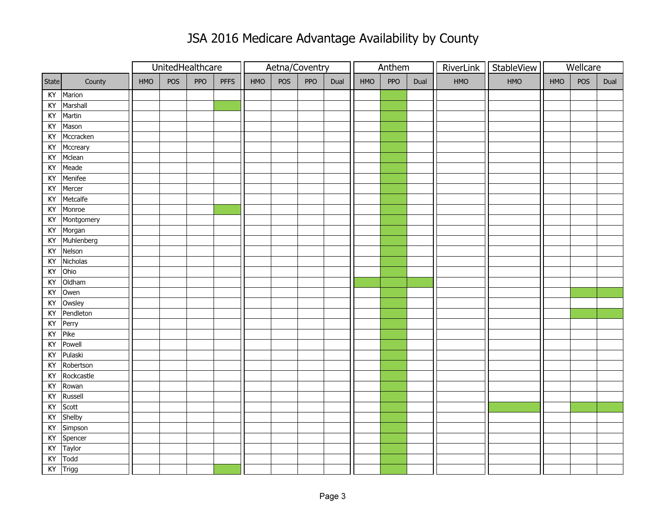|       |            |     | UnitedHealthcare |     |             |     |     | Aetna/Coventry |      |     | Anthem     |      |     | RiverLink   StableView |     | Wellcare |      |
|-------|------------|-----|------------------|-----|-------------|-----|-----|----------------|------|-----|------------|------|-----|------------------------|-----|----------|------|
| State | County     | HMO | POS              | PPO | <b>PFFS</b> | HMO | POS | PPO            | Dual | HMO | <b>PPO</b> | Dual | HMO | HMO                    | HMO | POS      | Dual |
| KY    | Marion     |     |                  |     |             |     |     |                |      |     |            |      |     |                        |     |          |      |
| KY    | Marshall   |     |                  |     |             |     |     |                |      |     |            |      |     |                        |     |          |      |
| KY    | Martin     |     |                  |     |             |     |     |                |      |     |            |      |     |                        |     |          |      |
| KY    | Mason      |     |                  |     |             |     |     |                |      |     |            |      |     |                        |     |          |      |
| KY    | Mccracken  |     |                  |     |             |     |     |                |      |     |            |      |     |                        |     |          |      |
| KY    | Mccreary   |     |                  |     |             |     |     |                |      |     |            |      |     |                        |     |          |      |
| KY    | Mclean     |     |                  |     |             |     |     |                |      |     |            |      |     |                        |     |          |      |
| KY    | Meade      |     |                  |     |             |     |     |                |      |     |            |      |     |                        |     |          |      |
| KY    | Menifee    |     |                  |     |             |     |     |                |      |     |            |      |     |                        |     |          |      |
| KY    | Mercer     |     |                  |     |             |     |     |                |      |     |            |      |     |                        |     |          |      |
| KY    | Metcalfe   |     |                  |     |             |     |     |                |      |     |            |      |     |                        |     |          |      |
| KY    | Monroe     |     |                  |     |             |     |     |                |      |     |            |      |     |                        |     |          |      |
| KY    | Montgomery |     |                  |     |             |     |     |                |      |     |            |      |     |                        |     |          |      |
| KY    | Morgan     |     |                  |     |             |     |     |                |      |     |            |      |     |                        |     |          |      |
| KY    | Muhlenberg |     |                  |     |             |     |     |                |      |     |            |      |     |                        |     |          |      |
| KY    | Nelson     |     |                  |     |             |     |     |                |      |     |            |      |     |                        |     |          |      |
| KY    | Nicholas   |     |                  |     |             |     |     |                |      |     |            |      |     |                        |     |          |      |
| KY    | Ohio       |     |                  |     |             |     |     |                |      |     |            |      |     |                        |     |          |      |
| KY    | Oldham     |     |                  |     |             |     |     |                |      |     |            |      |     |                        |     |          |      |
| KY    | Owen       |     |                  |     |             |     |     |                |      |     |            |      |     |                        |     |          |      |
| KY    | Owsley     |     |                  |     |             |     |     |                |      |     |            |      |     |                        |     |          |      |
| KY    | Pendleton  |     |                  |     |             |     |     |                |      |     |            |      |     |                        |     |          |      |
| KY    | Perry      |     |                  |     |             |     |     |                |      |     |            |      |     |                        |     |          |      |
| KY    | Pike       |     |                  |     |             |     |     |                |      |     |            |      |     |                        |     |          |      |
| KY    | Powell     |     |                  |     |             |     |     |                |      |     |            |      |     |                        |     |          |      |
| KY    | Pulaski    |     |                  |     |             |     |     |                |      |     |            |      |     |                        |     |          |      |
| KY    | Robertson  |     |                  |     |             |     |     |                |      |     |            |      |     |                        |     |          |      |
| KY    | Rockcastle |     |                  |     |             |     |     |                |      |     |            |      |     |                        |     |          |      |
| KY    | Rowan      |     |                  |     |             |     |     |                |      |     |            |      |     |                        |     |          |      |
| KY    | Russell    |     |                  |     |             |     |     |                |      |     |            |      |     |                        |     |          |      |
| KY    | Scott      |     |                  |     |             |     |     |                |      |     |            |      |     |                        |     |          |      |
| KY    | Shelby     |     |                  |     |             |     |     |                |      |     |            |      |     |                        |     |          |      |
| KY    | Simpson    |     |                  |     |             |     |     |                |      |     |            |      |     |                        |     |          |      |
| KY    | Spencer    |     |                  |     |             |     |     |                |      |     |            |      |     |                        |     |          |      |
| KY    | Taylor     |     |                  |     |             |     |     |                |      |     |            |      |     |                        |     |          |      |
| KY    | Todd       |     |                  |     |             |     |     |                |      |     |            |      |     |                        |     |          |      |
| KY    | Trigg      |     |                  |     |             |     |     |                |      |     |            |      |     |                        |     |          |      |